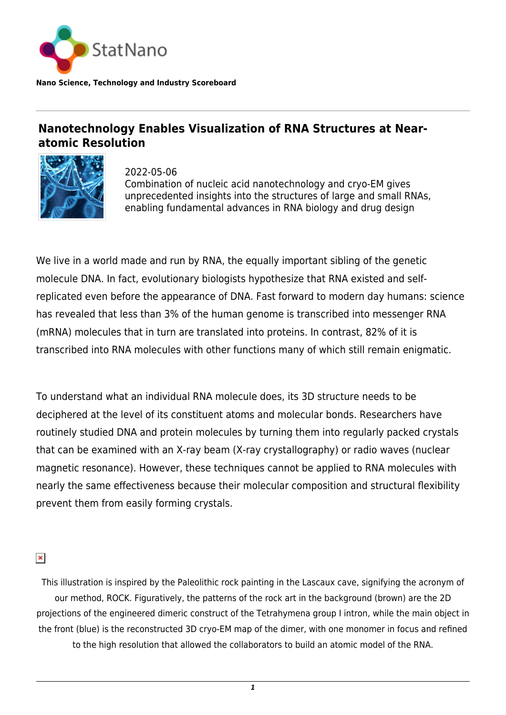

**Nano Science, Technology and Industry Scoreboard**

## **Nanotechnology Enables Visualization of RNA Structures at Nearatomic Resolution**



2022-05-06 Combination of nucleic acid nanotechnology and cryo-EM gives unprecedented insights into the structures of large and small RNAs, enabling fundamental advances in RNA biology and drug design

We live in a world made and run by RNA, the equally important sibling of the genetic molecule DNA. In fact, evolutionary biologists hypothesize that RNA existed and selfreplicated even before the appearance of DNA. Fast forward to modern day humans: science has revealed that less than 3% of the human genome is transcribed into messenger RNA (mRNA) molecules that in turn are translated into proteins. In contrast, 82% of it is transcribed into RNA molecules with other functions many of which still remain enigmatic.

To understand what an individual RNA molecule does, its 3D structure needs to be deciphered at the level of its constituent atoms and molecular bonds. Researchers have routinely studied DNA and protein molecules by turning them into regularly packed crystals that can be examined with an X-ray beam (X-ray crystallography) or radio waves (nuclear magnetic resonance). However, these techniques cannot be applied to RNA molecules with nearly the same effectiveness because their molecular composition and structural flexibility prevent them from easily forming crystals.

 $\pmb{\times}$ 

This illustration is inspired by the Paleolithic rock painting in the Lascaux cave, signifying the acronym of our method, ROCK. Figuratively, the patterns of the rock art in the background (brown) are the 2D projections of the engineered dimeric construct of the Tetrahymena group I intron, while the main object in the front (blue) is the reconstructed 3D cryo-EM map of the dimer, with one monomer in focus and refined to the high resolution that allowed the collaborators to build an atomic model of the RNA.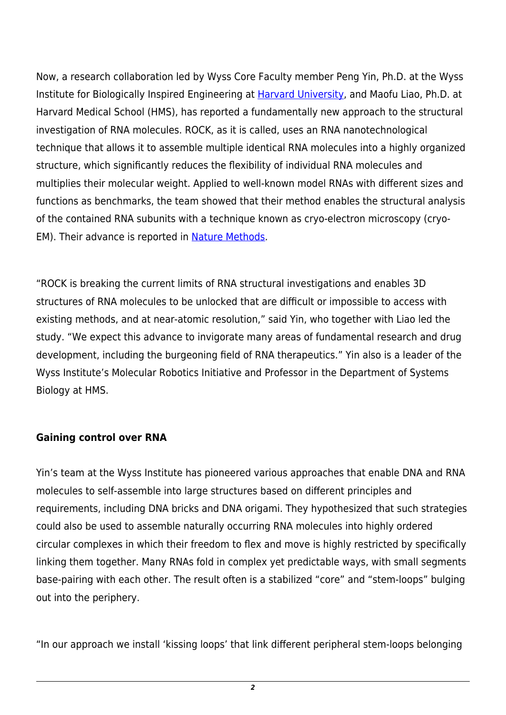Now, a research collaboration led by Wyss Core Faculty member Peng Yin, Ph.D. at the Wyss Institute for Biologically Inspired Engineering at [Harvard University,](https://statnano.com/org/Harvard-University) and Maofu Liao, Ph.D. at Harvard Medical School (HMS), has reported a fundamentally new approach to the structural investigation of RNA molecules. ROCK, as it is called, uses an RNA nanotechnological technique that allows it to assemble multiple identical RNA molecules into a highly organized structure, which significantly reduces the flexibility of individual RNA molecules and multiplies their molecular weight. Applied to well-known model RNAs with different sizes and functions as benchmarks, the team showed that their method enables the structural analysis of the contained RNA subunits with a technique known as cryo-electron microscopy (cryo-EM). Their advance is reported in [Nature Methods.](https://www.nature.com/articles/s41592-022-01455-w)

"ROCK is breaking the current limits of RNA structural investigations and enables 3D structures of RNA molecules to be unlocked that are difficult or impossible to access with existing methods, and at near-atomic resolution," said Yin, who together with Liao led the study. "We expect this advance to invigorate many areas of fundamental research and drug development, including the burgeoning field of RNA therapeutics." Yin also is a leader of the Wyss Institute's Molecular Robotics Initiative and Professor in the Department of Systems Biology at HMS.

## **Gaining control over RNA**

Yin's team at the Wyss Institute has pioneered various approaches that enable DNA and RNA molecules to self-assemble into large structures based on different principles and requirements, including DNA bricks and DNA origami. They hypothesized that such strategies could also be used to assemble naturally occurring RNA molecules into highly ordered circular complexes in which their freedom to flex and move is highly restricted by specifically linking them together. Many RNAs fold in complex yet predictable ways, with small segments base-pairing with each other. The result often is a stabilized "core" and "stem-loops" bulging out into the periphery.

"In our approach we install 'kissing loops' that link different peripheral stem-loops belonging

*2*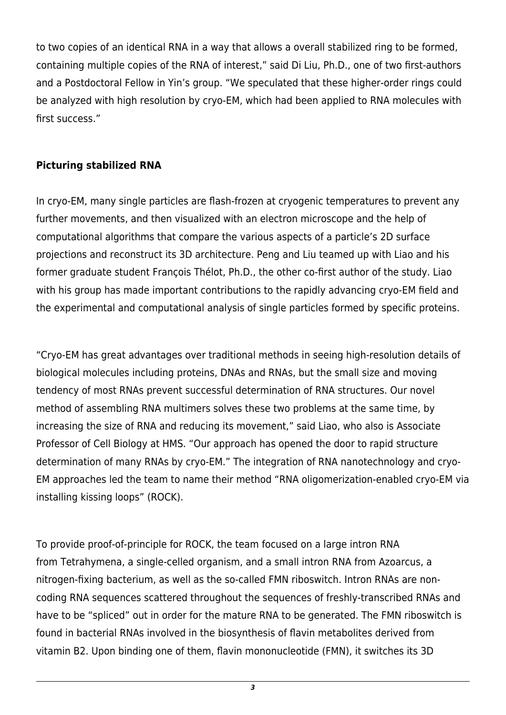to two copies of an identical RNA in a way that allows a overall stabilized ring to be formed, containing multiple copies of the RNA of interest," said Di Liu, Ph.D., one of two first-authors and a Postdoctoral Fellow in Yin's group. "We speculated that these higher-order rings could be analyzed with high resolution by cryo-EM, which had been applied to RNA molecules with first success."

## **Picturing stabilized RNA**

In cryo-EM, many single particles are flash-frozen at cryogenic temperatures to prevent any further movements, and then visualized with an electron microscope and the help of computational algorithms that compare the various aspects of a particle's 2D surface projections and reconstruct its 3D architecture. Peng and Liu teamed up with Liao and his former graduate student François Thélot, Ph.D., the other co-first author of the study. Liao with his group has made important contributions to the rapidly advancing cryo-EM field and the experimental and computational analysis of single particles formed by specific proteins.

"Cryo-EM has great advantages over traditional methods in seeing high-resolution details of biological molecules including proteins, DNAs and RNAs, but the small size and moving tendency of most RNAs prevent successful determination of RNA structures. Our novel method of assembling RNA multimers solves these two problems at the same time, by increasing the size of RNA and reducing its movement," said Liao, who also is Associate Professor of Cell Biology at HMS. "Our approach has opened the door to rapid structure determination of many RNAs by cryo-EM." The integration of RNA nanotechnology and cryo-EM approaches led the team to name their method "RNA oligomerization-enabled cryo-EM via installing kissing loops" (ROCK).

To provide proof-of-principle for ROCK, the team focused on a large intron RNA from Tetrahymena, a single-celled organism, and a small intron RNA from Azoarcus, a nitrogen-fixing bacterium, as well as the so-called FMN riboswitch. Intron RNAs are noncoding RNA sequences scattered throughout the sequences of freshly-transcribed RNAs and have to be "spliced" out in order for the mature RNA to be generated. The FMN riboswitch is found in bacterial RNAs involved in the biosynthesis of flavin metabolites derived from vitamin B2. Upon binding one of them, flavin mononucleotide (FMN), it switches its 3D